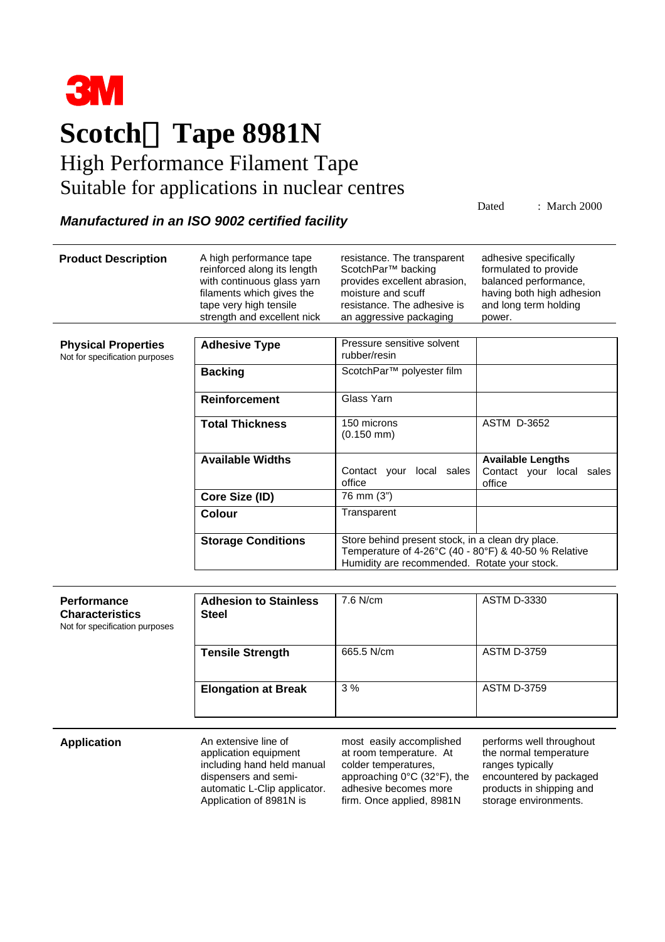

## **Scotchâ Tape 8981N**

## High Performance Filament Tape Suitable for applications in nuclear centres

Dated : March 2000

## *Manufactured in an ISO 9002 certified facility*

| <b>Product Description</b>                                                     | A high performance tape<br>reinforced along its length<br>with continuous glass yarn<br>filaments which gives the<br>tape very high tensile<br>strength and excellent nick | resistance. The transparent<br>ScotchPar <sup>™</sup> backing<br>provides excellent abrasion,<br>moisture and scuff<br>resistance. The adhesive is<br>an aggressive packaging | adhesive specifically<br>formulated to provide<br>balanced performance,<br>having both high adhesion<br>and long term holding<br>power. |
|--------------------------------------------------------------------------------|----------------------------------------------------------------------------------------------------------------------------------------------------------------------------|-------------------------------------------------------------------------------------------------------------------------------------------------------------------------------|-----------------------------------------------------------------------------------------------------------------------------------------|
|                                                                                |                                                                                                                                                                            |                                                                                                                                                                               |                                                                                                                                         |
| <b>Physical Properties</b><br>Not for specification purposes                   | <b>Adhesive Type</b>                                                                                                                                                       | Pressure sensitive solvent<br>rubber/resin                                                                                                                                    |                                                                                                                                         |
|                                                                                | <b>Backing</b>                                                                                                                                                             | ScotchPar <sup>™</sup> polyester film                                                                                                                                         |                                                                                                                                         |
|                                                                                | Reinforcement                                                                                                                                                              | Glass Yarn                                                                                                                                                                    |                                                                                                                                         |
|                                                                                | <b>Total Thickness</b>                                                                                                                                                     | 150 microns<br>$(0.150$ mm $)$                                                                                                                                                | <b>ASTM D-3652</b>                                                                                                                      |
|                                                                                | <b>Available Widths</b>                                                                                                                                                    | Contact your local sales<br>office                                                                                                                                            | <b>Available Lengths</b><br>Contact your local sales<br>office                                                                          |
|                                                                                | Core Size (ID)                                                                                                                                                             | 76 mm $(3")$                                                                                                                                                                  |                                                                                                                                         |
|                                                                                | Colour                                                                                                                                                                     | Transparent                                                                                                                                                                   |                                                                                                                                         |
|                                                                                | <b>Storage Conditions</b>                                                                                                                                                  | Store behind present stock, in a clean dry place.<br>Temperature of 4-26°C (40 - 80°F) & 40-50 % Relative<br>Humidity are recommended. Rotate your stock.                     |                                                                                                                                         |
|                                                                                |                                                                                                                                                                            |                                                                                                                                                                               |                                                                                                                                         |
| <b>Performance</b><br><b>Characteristics</b><br>Not for specification purposes | <b>Adhesion to Stainless</b><br><b>Steel</b>                                                                                                                               | 7.6 N/cm                                                                                                                                                                      | <b>ASTM D-3330</b>                                                                                                                      |
|                                                                                | <b>Tensile Strength</b>                                                                                                                                                    | 665.5 N/cm                                                                                                                                                                    | <b>ASTM D-3759</b>                                                                                                                      |
|                                                                                | <b>Elongation at Break</b>                                                                                                                                                 | 3%                                                                                                                                                                            | <b>ASTM D-3759</b>                                                                                                                      |

**Application** An extensive line of application equipment including hand held manual dispensers and semiautomatic L-Clip applicator. Application of 8981N is

most easily accomplished at room temperature. At colder temperatures, approaching 0°C (32°F), the adhesive becomes more firm. Once applied, 8981N

performs well throughout the normal temperature ranges typically encountered by packaged products in shipping and storage environments.